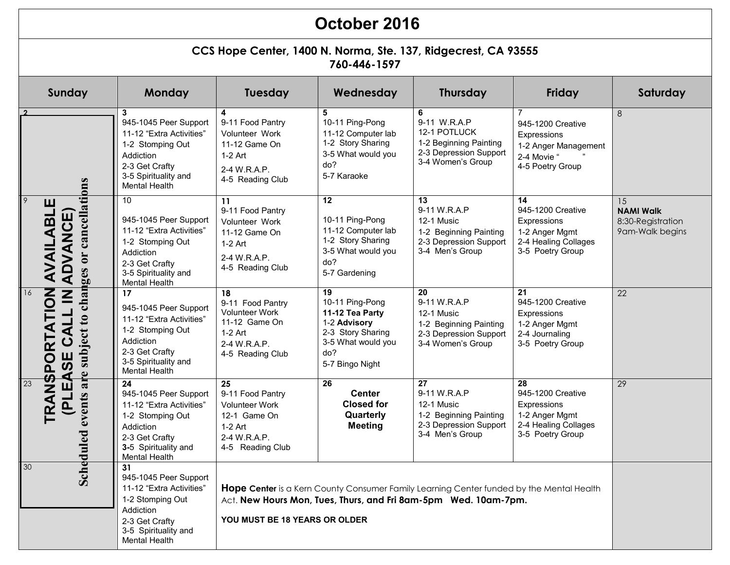## **October 2016**

## **CCS Hope Center, 1400 N. Norma, Ste. 137, Ridgecrest, CA 93555 760-446-1597**

| Sunday                                                                        | Monday                                                                                                                                                     | Tuesday                                                                                                                                                                                      | Wednesday                                                                                                                                  | <b>Thursday</b>                                                                                            | Friday                                                                                                        | Saturday                                                       |
|-------------------------------------------------------------------------------|------------------------------------------------------------------------------------------------------------------------------------------------------------|----------------------------------------------------------------------------------------------------------------------------------------------------------------------------------------------|--------------------------------------------------------------------------------------------------------------------------------------------|------------------------------------------------------------------------------------------------------------|---------------------------------------------------------------------------------------------------------------|----------------------------------------------------------------|
|                                                                               | 3<br>945-1045 Peer Support<br>11-12 "Extra Activities"<br>1-2 Stomping Out<br>Addiction<br>2-3 Get Crafty<br>3-5 Spirituality and<br><b>Mental Health</b>  | 4<br>9-11 Food Pantry<br>Volunteer Work<br>11-12 Game On<br>$1-2$ Art<br>2-4 W.R.A.P.<br>4-5 Reading Club                                                                                    | 5<br>10-11 Ping-Pong<br>11-12 Computer lab<br>1-2 Story Sharing<br>3-5 What would you<br>do?<br>5-7 Karaoke                                | 6<br>9-11 W.R.A.P<br>12-1 POTLUCK<br>1-2 Beginning Painting<br>2-3 Depression Support<br>3-4 Women's Group | $\overline{7}$<br>945-1200 Creative<br>Expressions<br>1-2 Anger Management<br>2-4 Movie "<br>4-5 Poetry Group | 8                                                              |
| subject to changes or cancellations<br>  9<br>ш<br>AVAILABL<br><b>ADVANCE</b> | 10<br>945-1045 Peer Support<br>11-12 "Extra Activities"<br>1-2 Stomping Out<br>Addiction<br>2-3 Get Crafty<br>3-5 Spirituality and<br><b>Mental Health</b> | 11<br>9-11 Food Pantry<br>Volunteer Work<br>11-12 Game On<br>$1-2$ Art<br>2-4 W.R.A.P.<br>4-5 Reading Club                                                                                   | 12<br>10-11 Ping-Pong<br>11-12 Computer lab<br>1-2 Story Sharing<br>3-5 What would you<br>do?<br>5-7 Gardening                             | 13<br>9-11 W.R.A.P<br>12-1 Music<br>1-2 Beginning Painting<br>2-3 Depression Support<br>3-4 Men's Group    | 14<br>945-1200 Creative<br>Expressions<br>1-2 Anger Mgmt<br>2-4 Healing Collages<br>3-5 Poetry Group          | 15<br><b>NAMI Walk</b><br>8:30-Registration<br>9am-Walk begins |
| EASE CALL IN<br><b>TRANSPORTATION</b><br>16                                   | 17<br>945-1045 Peer Support<br>11-12 "Extra Activities"<br>1-2 Stomping Out<br>Addiction<br>2-3 Get Crafty<br>3-5 Spirituality and<br><b>Mental Health</b> | 18<br>9-11 Food Pantry<br><b>Volunteer Work</b><br>11-12 Game On<br>$1-2$ Art<br>2-4 W.R.A.P.<br>4-5 Reading Club                                                                            | $\overline{19}$<br>10-11 Ping-Pong<br>11-12 Tea Party<br>1-2 Advisory<br>2-3 Story Sharing<br>3-5 What would you<br>do?<br>5-7 Bingo Night | 20<br>9-11 W.R.A.P<br>12-1 Music<br>1-2 Beginning Painting<br>2-3 Depression Support<br>3-4 Women's Group  | 21<br>945-1200 Creative<br>Expressions<br>1-2 Anger Mgmt<br>2-4 Journaling<br>3-5 Poetry Group                | $\overline{22}$                                                |
| are<br>23<br><b>Scheduled events</b><br>LIA                                   | 24<br>945-1045 Peer Support<br>11-12 "Extra Activities"<br>1-2 Stomping Out<br>Addiction<br>2-3 Get Crafty<br>3-5 Spirituality and<br>Mental Health        | 25<br>9-11 Food Pantry<br><b>Volunteer Work</b><br>12-1 Game On<br>$1-2$ Art<br>2-4 W.R.A.P.<br>4-5 Reading Club                                                                             | 26<br><b>Center</b><br><b>Closed for</b><br>Quarterly<br><b>Meeting</b>                                                                    | 27<br>9-11 W.R.A.P<br>12-1 Music<br>1-2 Beginning Painting<br>2-3 Depression Support<br>3-4 Men's Group    | 28<br>945-1200 Creative<br>Expressions<br>1-2 Anger Mgmt<br>2-4 Healing Collages<br>3-5 Poetry Group          | $\overline{29}$                                                |
| 30                                                                            | 31<br>945-1045 Peer Support<br>11-12 "Extra Activities"<br>1-2 Stomping Out<br>Addiction<br>2-3 Get Crafty<br>3-5 Spirituality and<br><b>Mental Health</b> | Hope Center is a Kern County Consumer Family Learning Center funded by the Mental Health<br>Act. New Hours Mon, Tues, Thurs, and Fri 8am-5pm Wed. 10am-7pm.<br>YOU MUST BE 18 YEARS OR OLDER |                                                                                                                                            |                                                                                                            |                                                                                                               |                                                                |